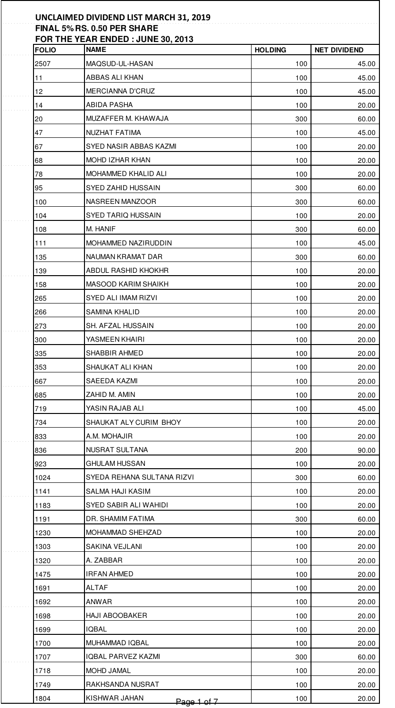| <b>FOLIO</b> | <b>NAME</b>                  | <b>HOLDING</b> | <b>NET DIVIDEND</b> |
|--------------|------------------------------|----------------|---------------------|
| 2507         | MAQSUD-UL-HASAN              | 100            | 45.00               |
| 11           | ABBAS ALI KHAN               | 100            | 45.00               |
| 12           | MERCIANNA D'CRUZ             | 100            | 45.00               |
| 14           | ABIDA PASHA                  | 100            | 20.00               |
| 20           | MUZAFFER M. KHAWAJA          | 300            | 60.00               |
| 47           | NUZHAT FATIMA                | 100            | 45.00               |
| 67           | SYED NASIR ABBAS KAZMI       | 100            | 20.00               |
| 68           | MOHD IZHAR KHAN              | 100            | 20.00               |
| 78           | MOHAMMED KHALID ALI          | 100            | 20.00               |
| 95           | SYED ZAHID HUSSAIN           | 300            | 60.00               |
| 100          | NASREEN MANZOOR              | 300            | 60.00               |
| 104          | SYED TARIQ HUSSAIN           | 100            | 20.00               |
| 108          | m. Hanif                     | 300            | 60.00               |
| 111          | MOHAMMED NAZIRUDDIN          | 100            | 45.00               |
| 135          | NAUMAN KRAMAT DAR            | 300            | 60.00               |
| 139          | ABDUL RASHID KHOKHR          | 100            | 20.00               |
| 158          | MASOOD KARIM SHAIKH          | 100            | 20.00               |
| 265          | SYED ALI IMAM RIZVI          | 100            | 20.00               |
| 266          | SAMINA KHALID                | 100            | 20.00               |
| 273          | SH. AFZAL HUSSAIN            | 100            | 20.00               |
| 300          | YASMEEN KHAIRI               | 100            | 20.00               |
| 335          | SHABBIR AHMED                | 100            | 20.00               |
| 353          | SHAUKAT ALI KHAN             | 100            | 20.00               |
| 667          | SAEEDA KAZMI                 | 100            | 20.00               |
| 685          | ZAHID M. AMIN                | 100            | 20.00               |
| 719          | YASIN RAJAB ALI              | 100            | 45.00               |
| 734          | SHAUKAT ALY CURIM BHOY       | 100            | 20.00               |
| 833          | A.M. MOHAJIR                 | 100            | 20.00               |
| 836          | NUSRAT SULTANA               | 200            | 90.00               |
| 923          | <b>GHULAM HUSSAN</b>         | 100            | 20.00               |
| 1024         | SYEDA REHANA SULTANA RIZVI   | 300            | 60.00               |
| 1141         | SALMA HAJI KASIM             | 100            | 20.00               |
| 1183         | SYED SABIR ALI WAHIDI        | 100            | 20.00               |
| 1191         | DR. SHAMIM FATIMA            | 300            | 60.00               |
| 1230         | MOHAMMAD SHEHZAD             | 100            | 20.00               |
| 1303         | SAKINA VEJLANI               | 100            | 20.00               |
| 1320         | A. ZABBAR                    | 100            | 20.00               |
| 1475         | IRFAN AHMED                  | 100            | 20.00               |
| 1691         | ALTAF                        | 100            | 20.00               |
| 1692         | ANWAR                        | 100            | 20.00               |
| 1698         | HAJI ABOOBAKER               | 100            | 20.00               |
| 1699         | IQBAL                        | 100            | 20.00               |
| 1700         | MUHAMMAD IQBAL               | 100            | 20.00               |
| 1707         | IQBAL PARVEZ KAZMI           | 300            | 60.00               |
| 1718         | MOHD JAMAL                   | 100            | 20.00               |
| 1749         | RAKHSANDA NUSRAT             | 100            | 20.00               |
| 1804         | KISHWAR JAHAN<br>Page 1 of 7 | 100            | 20.00               |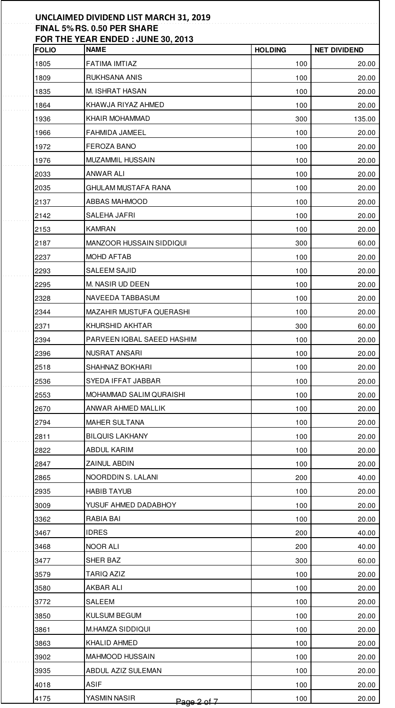| <b>FOLIO</b> | FOR THE YEAR ENDED: JUNE 30, 2013<br><b>NAME</b> | <b>HOLDING</b> | <b>NET DIVIDEND</b> |
|--------------|--------------------------------------------------|----------------|---------------------|
| 1805         | FATIMA IMTIAZ                                    | 100            |                     |
| 1809         | RUKHSANA ANIS                                    | 100            |                     |
| 1835         | M. ISHRAT HASAN                                  | 100            |                     |
| 1864         | KHAWJA RIYAZ AHMED                               | 100            |                     |
| 1936         | KHAIR MOHAMMAD                                   | 300            | 135.00              |
| 1966         | FAHMIDA JAMEEL                                   | 100            |                     |
| 1972         | FEROZA BANO                                      | 100            |                     |
| 1976         | MUZAMMIL HUSSAIN                                 | 100            |                     |
| 2033         | ANWAR ALI                                        | 100            |                     |
| 2035         | GHULAM MUSTAFA RANA                              | 100            |                     |
| 2137         | ABBAS MAHMOOD                                    | 100            |                     |
| 2142         | SALEHA JAFRI                                     | 100            |                     |
| 2153         | KAMRAN                                           | 100            |                     |
| 2187         | MANZOOR HUSSAIN SIDDIQUI                         | 300            |                     |
| 2237         | MOHD AFTAB                                       | 100            |                     |
| 2293         | SALEEM SAJID                                     | 100            |                     |
| 2295         | M. NASIR UD DEEN                                 | 100            |                     |
| 2328         | NAVEEDA TABBASUM                                 | 100            |                     |
| 2344         | MAZAHIR MUSTUFA QUERASHI                         | 100            |                     |
| 2371         | KHURSHID AKHTAR                                  | 300            |                     |
| 2394         | PARVEEN IQBAL SAEED HASHIM                       | 100            |                     |
| 2396         | NUSRAT ANSARI                                    | 100            |                     |
| 2518         | SHAHNAZ BOKHARI                                  | 100            |                     |
| 2536         | SYEDA IFFAT JABBAR                               | 100            |                     |
| 2553         | MOHAMMAD SALIM QURAISHI                          | 100            |                     |
| 2670         | ANWAR AHMED MALLIK                               | 100            |                     |
| 2794         | MAHER SULTANA                                    | 100            |                     |
| 2811         | <b>BILQUIS LAKHANY</b>                           | 100            |                     |
| 2822         | ABDUL KARIM                                      | 100            |                     |
| 2847         | ZAINUL ABDIN                                     | 100            |                     |
| 2865         | NOORDDIN S. LALANI                               | 200            |                     |
| 2935         | <b>HABIB TAYUB</b>                               | 100            |                     |
| 3009         | YUSUF AHMED DADABHOY                             | 100            |                     |
| 3362         | RABIA BAI                                        | 100            |                     |
| 3467         | <b>IDRES</b>                                     | 200            |                     |
| 3468         | NOOR ALI                                         | 200            |                     |
| 3477         | SHER BAZ                                         | 300            |                     |
| 3579         | TARIQ AZIZ                                       | 100            |                     |
| 3580         | AKBAR ALI                                        | 100            |                     |
| 3772         | SALEEM                                           | 100            |                     |
| 3850         | KULSUM BEGUM                                     | 100            |                     |
| 3861         | M.HAMZA SIDDIQUI                                 | 100            |                     |
| 3863         | KHALID AHMED                                     | 100            |                     |
| 3902         | MAHMOOD HUSSAIN                                  | 100            |                     |
| 3935         | ABDUL AZIZ SULEMAN                               | 100            |                     |
| 4018         | ASIF                                             | 100            |                     |
| 4175         | YASMIN NASIR<br>Page 2 of 7                      | 100            |                     |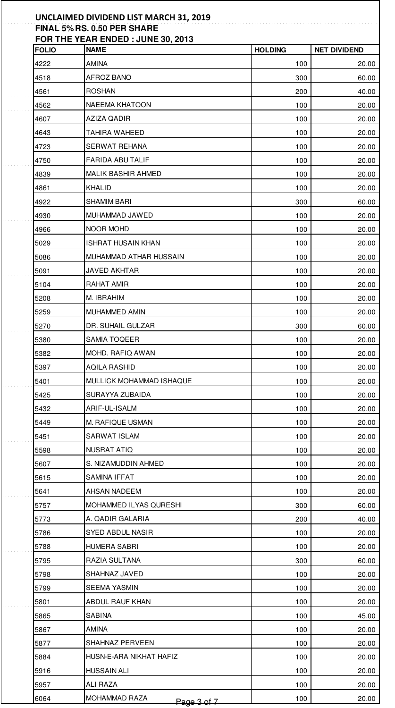| <b>FOLIO</b> | FOR THE YEAR ENDED : JUNE 30, 2013<br><b>NAME</b> | <b>HOLDING</b> | <b>NET DIVIDEND</b> |
|--------------|---------------------------------------------------|----------------|---------------------|
| 4222         | AMINA                                             | 100            |                     |
| 4518         | AFROZ BANO                                        | 300            |                     |
| 4561         | ROSHAN                                            | 200            |                     |
| 4562         | NAEEMA KHATOON                                    | 100            |                     |
| 4607         | AZIZA QADIR                                       | 100            |                     |
| 4643         | TAHIRA WAHEED                                     | 100            |                     |
| 4723         | SERWAT REHANA                                     | 100            |                     |
| 4750         | FARIDA ABU TALIF                                  | 100            |                     |
| 4839         | MALIK BASHIR AHMED                                | 100            |                     |
| 4861         | KHALID                                            | 100            |                     |
| 4922         | SHAMIM BARI                                       | 300            |                     |
| 4930         | MUHAMMAD JAWED                                    | 100            |                     |
| 4966         | NOOR MOHD                                         | 100            |                     |
| 5029         | ISHRAT HUSAIN KHAN                                | 100            |                     |
| 5086         | MUHAMMAD ATHAR HUSSAIN                            | 100            |                     |
| 5091         | <b>JAVED AKHTAR</b>                               | 100            |                     |
| 5104         | RAHAT AMIR                                        | 100            |                     |
| 5208         | M. IBRAHIM                                        | 100            |                     |
| 5259         | MUHAMMED AMIN                                     | 100            |                     |
| 5270         | DR. SUHAIL GULZAR                                 | 300            |                     |
| 5380         | SAMIA TOQEER                                      | 100            |                     |
| 5382         | MOHD. RAFIQ AWAN                                  | 100            |                     |
| 5397         | AQILA RASHID                                      | 100            |                     |
| 5401         | MULLICK MOHAMMAD ISHAQUE                          | 100            |                     |
| 5425         | SURAYYA ZUBAIDA                                   | 100            |                     |
| 5432         | ARIF-UL-ISALM                                     | 100            |                     |
| 5449         | M. RAFIQUE USMAN                                  | 100            |                     |
| 5451         | SARWAT ISLAM                                      | 100            |                     |
| 5598         | <b>NUSRAT ATIQ</b>                                | 100            |                     |
| 5607         | S. NIZAMUDDIN AHMED                               | 100            |                     |
| 5615         | SAMINA IFFAT                                      | 100            |                     |
| 5641         | AHSAN NADEEM                                      | 100            |                     |
| 5757         | MOHAMMED ILYAS QURESHI                            | 300            |                     |
| 5773         | A. QADIR GALARIA                                  | 200            |                     |
| 5786         | SYED ABDUL NASIR                                  | 100            |                     |
| 5788         | HUMERA SABRI                                      | 100            |                     |
| 5795         | RAZIA SULTANA                                     | 300            |                     |
| 5798         | SHAHNAZ JAVED                                     | 100            |                     |
| 5799         | SEEMA YASMIN                                      | 100            |                     |
| 5801         | ABDUL RAUF KHAN                                   | 100            |                     |
| 5865         | SABINA                                            | 100            |                     |
| 5867         | AMINA                                             | 100            |                     |
| 5877         | SHAHNAZ PERVEEN                                   | 100            |                     |
| 5884         | HUSN-E-ARA NIKHAT HAFIZ                           | 100            |                     |
| 5916         | HUSSAIN ALI                                       | 100            |                     |
| 5957         | ALI RAZA                                          | 100            |                     |
| 6064         | MOHAMMAD RAZA<br>Page 3 of 7                      | 100            |                     |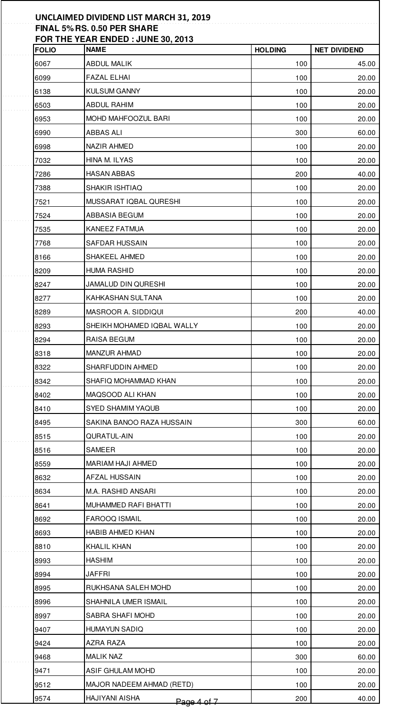| <b>FOLIO</b> | <b>NAME</b>                   | <b>HOLDING</b> | <b>NET DIVIDEND</b> |
|--------------|-------------------------------|----------------|---------------------|
| 6067         | <b>ABDUL MALIK</b>            | 100            |                     |
| 6099         | FAZAL ELHAI                   | 100            | 20.00               |
| 6138         | <b>KULSUM GANNY</b>           | 100            | 20.00               |
| 6503         | ABDUL RAHIM                   | 100            | 20.00               |
| 6953         | MOHD MAHFOOZUL BARI           | 100            |                     |
| 6990         | ABBAS ALI                     | 300            | 60.00               |
| 6998         | NAZIR AHMED                   | 100            |                     |
| 7032         | HINA M. ILYAS                 | 100            | 20.00               |
| 7286         | HASAN ABBAS                   | 200            | 40.00               |
| 7388         | SHAKIR ISHTIAQ                | 100            | 20.00               |
| 7521         | MUSSARAT IQBAL QURESHI        | 100            | 20.00               |
| 7524         | ABBASIA BEGUM                 | 100            | 20.00               |
| 7535         | KANEEZ FATMUA                 | 100            |                     |
| 7768         | SAFDAR HUSSAIN                | 100            |                     |
| 8166         | SHAKEEL AHMED                 | 100            |                     |
| 8209         | <b>HUMA RASHID</b>            | 100            |                     |
| 8247         | JAMALUD DIN QURESHI           | 100            |                     |
| 8277         | KAHKASHAN SULTANA             | 100            |                     |
| 8289         | MASROOR A. SIDDIQUI           | 200            |                     |
| 8293         | SHEIKH MOHAMED IQBAL WALLY    | 100            | 20.00               |
| 8294         | RAISA BEGUM                   | 100            | 20.00               |
| 8318         | MANZUR AHMAD                  | 100            | 20.00               |
| 8322         | SHARFUDDIN AHMED              | 100            | 20.00               |
| 8342         | SHAFIQ MOHAMMAD KHAN          | 100            | 20.00               |
| 8402         | MAQSOOD ALI KHAN              | 100            | 20.00               |
| 8410         | SYED SHAMIM YAQUB             | 100            | 20.00               |
| 8495         | SAKINA BANOO RAZA HUSSAIN     | 300            | 60.00               |
| 8515         | QURATUL-AIN                   | 100            | 20.00               |
| 8516         | SAMEER                        | 100            | 20.00               |
| 8559         | MARIAM HAJI AHMED             | 100            |                     |
| 8632         | AFZAL HUSSAIN                 | 100            | 20.00               |
| 8634         | M.A. RASHID ANSARI            | 100            | 20.00               |
| 8641         | MUHAMMED RAFI BHATTI          | 100            | 20.00               |
| 8692         | FAROOQ ISMAIL                 | 100            | 20.00               |
| 8693         | HABIB AHMED KHAN              | 100            | 20.00               |
| 8810         | KHALIL KHAN                   | 100            |                     |
| 8993         | HASHIM                        | 100            | 20.00               |
| 8994         | JAFFRI                        | 100            |                     |
| 8995         | RUKHSANA SALEH MOHD           | 100            |                     |
| 8996         | SHAHNILA UMER ISMAIL          | 100            |                     |
| 8997         | SABRA SHAFI MOHD              | 100            | 20.00               |
| 9407         | HUMAYUN SADIQ                 | 100            |                     |
| 9424         | AZRA RAZA                     | 100            |                     |
| 9468         | <b>MALIK NAZ</b>              | 300            |                     |
| 9471         | ASIF GHULAM MOHD              | 100            | 20.00               |
| 9512         | MAJOR NADEEM AHMAD (RETD)     | 100            |                     |
| 9574         | HAJIYANI AISHA<br>Page 4 of 7 | 200            |                     |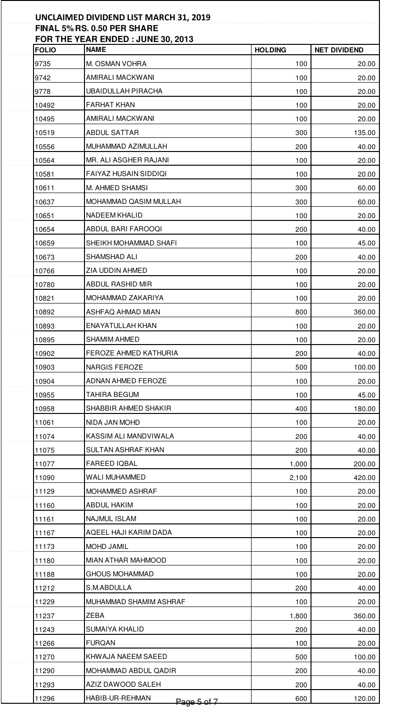| <b>FOLIO</b> | <b>NAME</b>                    | <b>HOLDING</b> | <b>NET DIVIDEND</b> |
|--------------|--------------------------------|----------------|---------------------|
| 9735         | M. OSMAN VOHRA                 | 100            |                     |
| 9742         | AMIRALI MACKWANI               | 100            |                     |
| 9778         | <b>UBAIDULLAH PIRACHA</b>      | 100            |                     |
| 10492        | <b>FARHAT KHAN</b>             | 100            |                     |
| 10495        | AMIRALI MACKWANI               | 100            |                     |
| 10519        | ABDUL SATTAR                   | 300            | 135.00              |
| 10556        | MUHAMMAD AZIMULLAH             | 200            |                     |
| 10564        | MR. ALI ASGHER RAJANI          | 100            |                     |
| 10581        | FAIYAZ HUSAIN SIDDIQI          | 100            |                     |
| 10611        | M. AHMED SHAMSI                | 300            |                     |
| 10637        | MOHAMMAD QASIM MULLAH          | 300            |                     |
| 10651        | NADEEM KHALID                  | 100            |                     |
| 10654        | ABDUL BARI FAROOQI             | 200            |                     |
| 10659        | SHEIKH MOHAMMAD SHAFI          | 100            |                     |
| 10673        | SHAMSHAD ALI                   | 200            |                     |
| 10766        | ZIA UDDIN AHMED                | 100            |                     |
| 10780        | ABDUL RASHID MIR               | 100            |                     |
| 10821        | MOHAMMAD ZAKARIYA              | 100            |                     |
| 10892        | ASHFAQ AHMAD MIAN              | 800            | 360.00              |
| 10893        | ENAYATULLAH KHAN               | 100            |                     |
| 10895        | SHAMIM AHMED                   | 100            |                     |
| 10902        | FEROZE AHMED KATHURIA          | 200            |                     |
| 10903        | NARGIS FEROZE                  | 500            | 100.00              |
| 10904        | ADNAN AHMED FEROZE             | 100            |                     |
| 10955        | TAHIRA BEGUM                   | 100            |                     |
| 10958        | SHABBIR AHMED SHAKIR           | 400            | 180.00              |
| 11061        | NIDA JAN MOHD                  | 100            |                     |
| 11074        | KASSIM ALI MANDVIWALA          | 200            |                     |
| 11075        | SULTAN ASHRAF KHAN             | 200            |                     |
| 11077        | <b>FAREED IQBAL</b>            | 1,000          | 200.00              |
| 11090        | WALI MUHAMMED                  | 2,100          | 420.00              |
| 11129        | MOHAMMED ASHRAF                | 100            |                     |
| 11160        | ABDUL HAKIM                    | 100            |                     |
| 11161        | NAJMUL ISLAM                   | 100            |                     |
| 11167        | AQEEL HAJI KARIM DADA          | 100            |                     |
| 11173        | MOHD JAMIL                     | 100            |                     |
| 11180        | MIAN ATHAR MAHMOOD             | 100            |                     |
| 11188        | <b>GHOUS MOHAMMAD</b>          | 100            |                     |
| 11212        | S.M.ABDULLA                    | 200            |                     |
| 11229        | MUHAMMAD SHAMIM ASHRAF         | 100            |                     |
| 11237        | ZEBA                           | 1,800          | 360.00              |
| 11243        | SUMAIYA KHALID                 | 200            |                     |
| 11266        | FURQAN                         | 100            |                     |
| 11270        | KHWAJA NAEEM SAEED             | 500            | 100.00              |
| 11290        | MOHAMMAD ABDUL QADIR           | 200            |                     |
| 11293        | AZIZ DAWOOD SALEH              | 200            |                     |
| 11296        | HABIB-UR-REHMAN<br>Page 5 of 7 | 600            | 120.00              |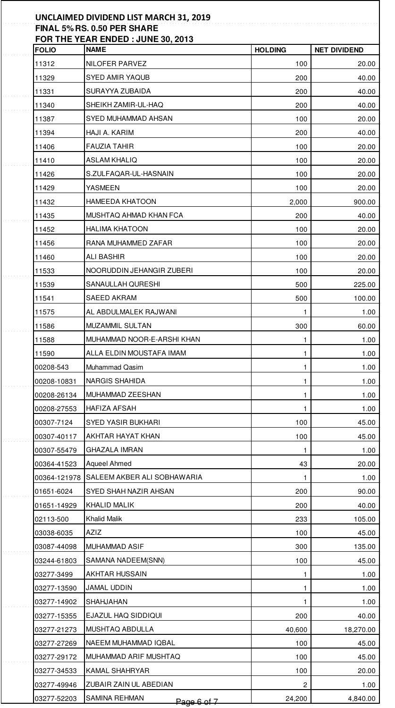|              | FOR THE YEAR ENDED: JUNE 30, 2013 |                |                     |
|--------------|-----------------------------------|----------------|---------------------|
| <b>FOLIO</b> | <b>NAME</b>                       | <b>HOLDING</b> | <b>NET DIVIDEND</b> |
| 11312        | NILOFER PARVEZ                    | 100            | 20.00               |
| 11329        | SYED AMIR YAQUB                   | 200            | 40.00               |
| 11331        | SURAYYA ZUBAIDA                   | 200            | 40.00               |
| 11340        | SHEIKH ZAMIR-UL-HAQ               | 200            | 40.00               |
| 11387        | SYED MUHAMMAD AHSAN               | 100            | 20.00               |
| 11394        | HAJI A. KARIM                     | 200            | 40.00               |
| 11406        | <b>FAUZIA TAHIR</b>               | 100            | 20.00               |
| 11410        | ASLAM KHALIQ                      | 100            | 20.00               |
| 11426        | S.ZULFAQAR-UL-HASNAIN             | 100            | 20.00               |
| 11429        | YASMEEN                           | 100            | 20.00               |
| 11432        | HAMEEDA KHATOON                   | 2,000          | 900.00              |
| 11435        | MUSHTAQ AHMAD KHAN FCA            | 200            | 40.00               |
| 11452        | <b>HALIMA KHATOON</b>             | 100            | 20.00               |
| 11456        | RANA MUHAMMED ZAFAR               | 100            | 20.00               |
| 11460        | ALI BASHIR                        | 100            | 20.00               |
| 11533        | NOORUDDIN JEHANGIR ZUBERI         | 100            | 20.00               |
| 11539        | SANAULLAH QURESHI                 | 500            | 225.00              |
| 11541        | SAEED AKRAM                       | 500            | 100.00              |
| 11575        | AL ABDULMALEK RAJWANI             | 1              | 1.00                |
| 11586        | MUZAMMIL SULTAN                   | 300            | 60.00               |
| 11588        | MUHAMMAD NOOR-E-ARSHI KHAN        | 1              | 1.00                |
| 11590        | ALLA ELDIN MOUSTAFA IMAM          | $\mathbf{1}$   | 1.00                |
| 00208-543    | Muhammad Qasim                    | $\mathbf{1}$   | 1.00                |
| 00208-10831  | NARGIS SHAHIDA                    | $\mathbf{1}$   | 1.00                |
| 00208-26134  | MUHAMMAD ZEESHAN                  | $\mathbf{1}$   | 1.00                |
| 00208-27553  | HAFIZA AFSAH                      | $\mathbf{1}$   | 1.00                |
| 00307-7124   | SYED YASIR BUKHARI                | 100            | 45.00               |
| 00307-40117  | AKHTAR HAYAT KHAN                 | 100            | 45.00               |
| 00307-55479  | <b>GHAZALA IMRAN</b>              | 1              | 1.00                |
| 00364-41523  | Aqueel Ahmed                      | 43             | 20.00               |
| 00364-121978 | SALEEM AKBER ALI SOBHAWARIA       | 1              | 1.00                |
| 01651-6024   | SYED SHAH NAZIR AHSAN             | 200            | 90.00               |
| 01651-14929  | KHALID MALIK                      | 200            | 40.00               |
| 02113-500    | Khalid Malik                      | 233            | 105.00              |
| 03038-6035   | AZIZ                              | 100            | 45.00               |
| 03087-44098  | MUHAMMAD ASIF                     | 300            | 135.00              |
| 03244-61803  | SAMANA NADEEM(SNN)                | 100            | 45.00               |
| 03277-3499   | AKHTAR HUSSAIN                    | 1              | 1.00                |
| 03277-13590  | JAMAL UDDIN                       | 1              | 1.00                |
| 03277-14902  | SHAHJAHAN                         | 1              | 1.00                |
| 03277-15355  | EJAZUL HAQ SIDDIQUI               | 200            | 40.00               |
| 03277-21273  | MUSHTAQ ABDULLA                   | 40,600         | 18,270.00           |
| 03277-27269  | NAEEM MUHAMMAD IQBAL              | 100            | 45.00               |
| 03277-29172  | MUHAMMAD ARIF MUSHTAQ             | 100            | 45.00               |
| 03277-34533  | KAMAL SHAHRYAR                    | 100            | 20.00               |
| 03277-49946  | ZUBAIR ZAIN UL ABEDIAN            | 2              | 1.00                |
|              |                                   |                |                     |